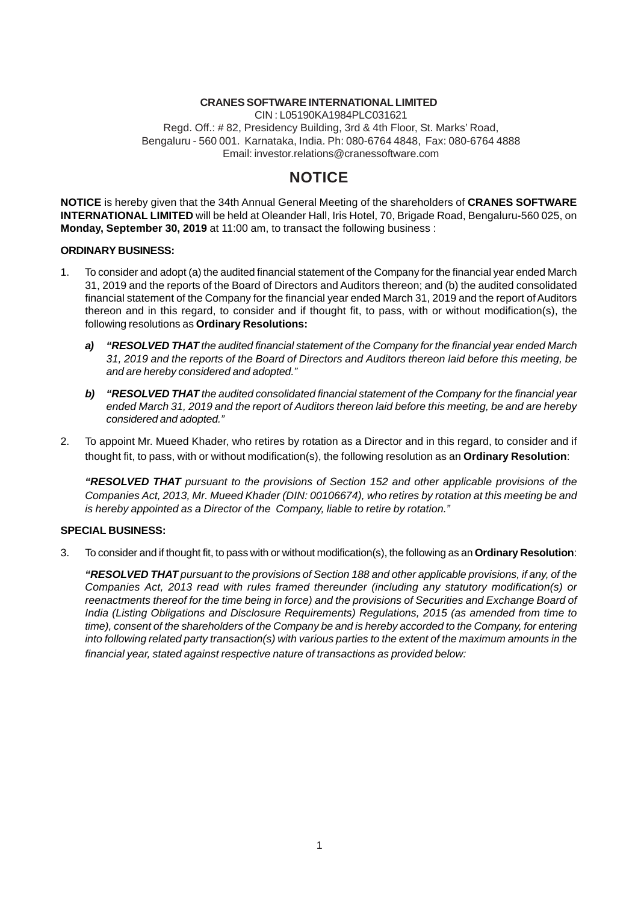#### **CRANES SOFTWARE INTERNATIONAL LIMITED**

CIN : L05190KA1984PLC031621 Regd. Off.: # 82, Presidency Building, 3rd & 4th Floor, St. Marks' Road, Bengaluru - 560 001. Karnataka, India. Ph: 080-6764 4848, Fax: 080-6764 4888 Email: investor.relations@cranessoftware.com

## **NOTICE**

**NOTICE** is hereby given that the 34th Annual General Meeting of the shareholders of **CRANES SOFTWARE INTERNATIONAL LIMITED** will be held at Oleander Hall, Iris Hotel, 70, Brigade Road, Bengaluru-560 025, on **Monday, September 30, 2019** at 11:00 am, to transact the following business :

#### **ORDINARY BUSINESS:**

- 1. To consider and adopt (a) the audited financial statement of the Company for the financial year ended March 31, 2019 and the reports of the Board of Directors and Auditors thereon; and (b) the audited consolidated financial statement of the Company for the financial year ended March 31, 2019 and the report of Auditors thereon and in this regard, to consider and if thought fit, to pass, with or without modification(s), the following resolutions as **Ordinary Resolutions:**
	- *a) "RESOLVED THAT the audited financial statement of the Company for the financial year ended March 31, 2019 and the reports of the Board of Directors and Auditors thereon laid before this meeting, be and are hereby considered and adopted."*
	- *b) "RESOLVED THAT the audited consolidated financial statement of the Company for the financial year ended March 31, 2019 and the report of Auditors thereon laid before this meeting, be and are hereby considered and adopted."*
- 2. To appoint Mr. Mueed Khader, who retires by rotation as a Director and in this regard, to consider and if thought fit, to pass, with or without modification(s), the following resolution as an **Ordinary Resolution**:

*"RESOLVED THAT pursuant to the provisions of Section 152 and other applicable provisions of the Companies Act, 2013, Mr. Mueed Khader (DIN: 00106674), who retires by rotation at this meeting be and is hereby appointed as a Director of the Company, liable to retire by rotation."*

#### **SPECIAL BUSINESS:**

3. To consider and if thought fit, to pass with or without modification(s), the following as an **Ordinary Resolution**:

*"RESOLVED THAT pursuant to the provisions of Section 188 and other applicable provisions, if any, of the Companies Act, 2013 read with rules framed thereunder (including any statutory modification(s) or reenactments thereof for the time being in force) and the provisions of Securities and Exchange Board of India (Listing Obligations and Disclosure Requirements) Regulations, 2015 (as amended from time to time), consent of the shareholders of the Company be and is hereby accorded to the Company, for entering into following related party transaction(s) with various parties to the extent of the maximum amounts in the financial year, stated against respective nature of transactions as provided below:*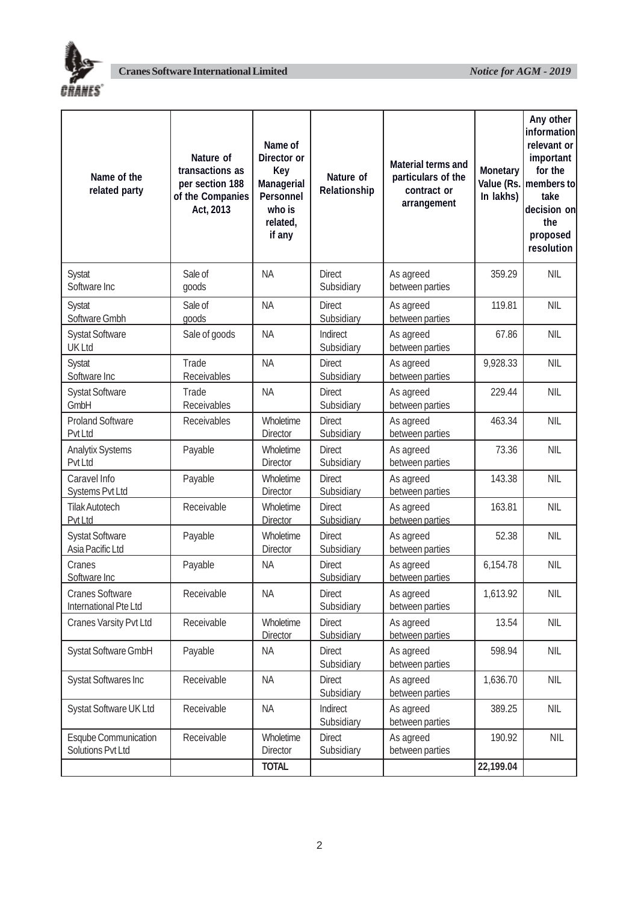

| Name of the<br>related party                     | Nature of<br>transactions as<br>per section 188<br>of the Companies<br>Act, 2013 | Name of<br>Director or<br>Key<br>Managerial<br>Personnel<br>who is<br>related,<br>if any | Nature of<br>Relationship   | Material terms and<br>particulars of the<br>contract or<br>arrangement | Monetary<br>In lakhs) | Any other<br>information<br>relevant or<br>important<br>for the<br>Value (Rs.   members to<br>take<br>decision on<br>the<br>proposed<br>resolution |
|--------------------------------------------------|----------------------------------------------------------------------------------|------------------------------------------------------------------------------------------|-----------------------------|------------------------------------------------------------------------|-----------------------|----------------------------------------------------------------------------------------------------------------------------------------------------|
| Systat<br>Software Inc                           | Sale of<br>goods                                                                 | <b>NA</b>                                                                                | <b>Direct</b><br>Subsidiary | As agreed<br>between parties                                           | 359.29                | <b>NIL</b>                                                                                                                                         |
| Systat<br>Software Gmbh                          | Sale of<br>goods                                                                 | <b>NA</b>                                                                                | <b>Direct</b><br>Subsidiary | As agreed<br>between parties                                           | 119.81                | <b>NIL</b>                                                                                                                                         |
| <b>Systat Software</b><br><b>UK Ltd</b>          | Sale of goods                                                                    | <b>NA</b>                                                                                | Indirect<br>Subsidiary      | As agreed<br>between parties                                           | 67.86                 | <b>NIL</b>                                                                                                                                         |
| Systat<br>Software Inc                           | Trade<br>Receivables                                                             | <b>NA</b>                                                                                | <b>Direct</b><br>Subsidiary | As agreed<br>between parties                                           | 9,928.33              | <b>NIL</b>                                                                                                                                         |
| <b>Systat Software</b><br>GmbH                   | Trade<br>Receivables                                                             | <b>NA</b>                                                                                | <b>Direct</b><br>Subsidiary | As agreed<br>between parties                                           | 229.44                | <b>NIL</b>                                                                                                                                         |
| <b>Proland Software</b><br>Pvt Ltd               | Receivables                                                                      | Wholetime<br><b>Director</b>                                                             | <b>Direct</b><br>Subsidiary | As agreed<br>between parties                                           | 463.34                | <b>NIL</b>                                                                                                                                         |
| <b>Analytix Systems</b><br>Pvt Ltd               | Payable                                                                          | Wholetime<br><b>Director</b>                                                             | <b>Direct</b><br>Subsidiary | As agreed<br>between parties                                           | 73.36                 | <b>NIL</b>                                                                                                                                         |
| Caravel Info<br>Systems Pvt Ltd                  | Payable                                                                          | Wholetime<br><b>Director</b>                                                             | <b>Direct</b><br>Subsidiary | As agreed<br>between parties                                           | 143.38                | <b>NIL</b>                                                                                                                                         |
| <b>Tilak Autotech</b><br>Pvt Ltd                 | Receivable                                                                       | Wholetime<br><b>Director</b>                                                             | <b>Direct</b><br>Subsidiary | As agreed<br>between parties                                           | 163.81                | <b>NIL</b>                                                                                                                                         |
| <b>Systat Software</b><br>Asia Pacific Ltd       | Payable                                                                          | Wholetime<br><b>Director</b>                                                             | <b>Direct</b><br>Subsidiary | As agreed<br>between parties                                           | 52.38                 | <b>NIL</b>                                                                                                                                         |
| Cranes<br>Software Inc                           | Payable                                                                          | <b>NA</b>                                                                                | <b>Direct</b><br>Subsidiary | As agreed<br>between parties                                           | 6,154.78              | <b>NIL</b>                                                                                                                                         |
| <b>Cranes Software</b><br>International Pte Ltd  | Receivable                                                                       | <b>NA</b>                                                                                | <b>Direct</b><br>Subsidiary | As agreed<br>between parties                                           | 1,613.92              | <b>NIL</b>                                                                                                                                         |
| Cranes Varsity Pvt Ltd                           | Receivable                                                                       | Wholetime<br>Director                                                                    | <b>Direct</b><br>Subsidiary | As agreed<br>between parties                                           | 13.54                 | <b>NIL</b>                                                                                                                                         |
| Systat Software GmbH                             | Payable                                                                          | <b>NA</b>                                                                                | <b>Direct</b><br>Subsidiary | As agreed<br>between parties                                           | 598.94                | <b>NIL</b>                                                                                                                                         |
| <b>Systat Softwares Inc</b>                      | Receivable                                                                       | <b>NA</b>                                                                                | <b>Direct</b><br>Subsidiary | As agreed<br>between parties                                           | 1,636.70              | <b>NIL</b>                                                                                                                                         |
| Systat Software UK Ltd                           | Receivable                                                                       | <b>NA</b>                                                                                | Indirect<br>Subsidiary      | As agreed<br>between parties                                           | 389.25                | <b>NIL</b>                                                                                                                                         |
| <b>Esqube Communication</b><br>Solutions Pvt Ltd | Receivable                                                                       | Wholetime<br><b>Director</b>                                                             | Direct<br>Subsidiary        | As agreed<br>between parties                                           | 190.92                | <b>NIL</b>                                                                                                                                         |
|                                                  |                                                                                  | <b>TOTAL</b>                                                                             |                             |                                                                        | 22,199.04             |                                                                                                                                                    |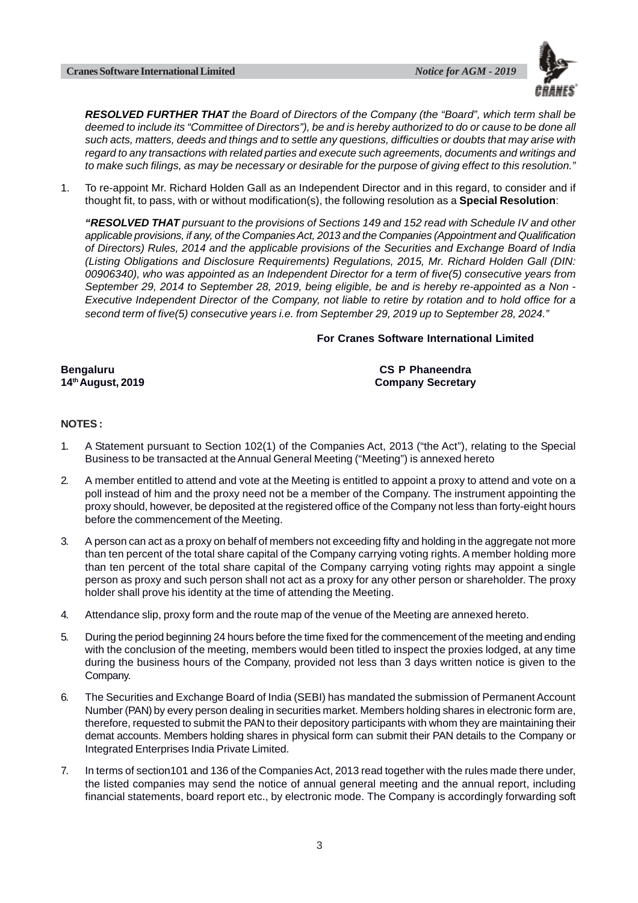

*RESOLVED FURTHER THAT the Board of Directors of the Company (the "Board", which term shall be deemed to include its "Committee of Directors"), be and is hereby authorized to do or cause to be done all such acts, matters, deeds and things and to settle any questions, difficulties or doubts that may arise with regard to any transactions with related parties and execute such agreements, documents and writings and to make such filings, as may be necessary or desirable for the purpose of giving effect to this resolution."*

1. To re-appoint Mr. Richard Holden Gall as an Independent Director and in this regard, to consider and if thought fit, to pass, with or without modification(s), the following resolution as a **Special Resolution**:

*"RESOLVED THAT pursuant to the provisions of Sections 149 and 152 read with Schedule IV and other applicable provisions, if any, of the Companies Act, 2013 and the Companies (Appointment and Qualification of Directors) Rules, 2014 and the applicable provisions of the Securities and Exchange Board of India (Listing Obligations and Disclosure Requirements) Regulations, 2015, Mr. Richard Holden Gall (DIN: 00906340), who was appointed as an Independent Director for a term of five(5) consecutive years from September 29, 2014 to September 28, 2019, being eligible, be and is hereby re-appointed as a Non - Executive Independent Director of the Company, not liable to retire by rotation and to hold office for a second term of five(5) consecutive years i.e. from September 29, 2019 up to September 28, 2024."*

#### **For Cranes Software International Limited**

**Bengaluru CS P Phaneendra 14th August, 2019 Company Secretary**

#### **NOTES :**

- 1. A Statement pursuant to Section 102(1) of the Companies Act, 2013 ("the Act"), relating to the Special Business to be transacted at the Annual General Meeting ("Meeting") is annexed hereto
- 2. A member entitled to attend and vote at the Meeting is entitled to appoint a proxy to attend and vote on a poll instead of him and the proxy need not be a member of the Company. The instrument appointing the proxy should, however, be deposited at the registered office of the Company not less than forty-eight hours before the commencement of the Meeting.
- 3. A person can act as a proxy on behalf of members not exceeding fifty and holding in the aggregate not more than ten percent of the total share capital of the Company carrying voting rights. A member holding more than ten percent of the total share capital of the Company carrying voting rights may appoint a single person as proxy and such person shall not act as a proxy for any other person or shareholder. The proxy holder shall prove his identity at the time of attending the Meeting.
- 4. Attendance slip, proxy form and the route map of the venue of the Meeting are annexed hereto.
- 5. During the period beginning 24 hours before the time fixed for the commencement of the meeting and ending with the conclusion of the meeting, members would been titled to inspect the proxies lodged, at any time during the business hours of the Company, provided not less than 3 days written notice is given to the Company.
- 6. The Securities and Exchange Board of India (SEBI) has mandated the submission of Permanent Account Number (PAN) by every person dealing in securities market. Members holding shares in electronic form are, therefore, requested to submit the PAN to their depository participants with whom they are maintaining their demat accounts. Members holding shares in physical form can submit their PAN details to the Company or Integrated Enterprises India Private Limited.
- 7. In terms of section101 and 136 of the Companies Act, 2013 read together with the rules made there under, the listed companies may send the notice of annual general meeting and the annual report, including financial statements, board report etc., by electronic mode. The Company is accordingly forwarding soft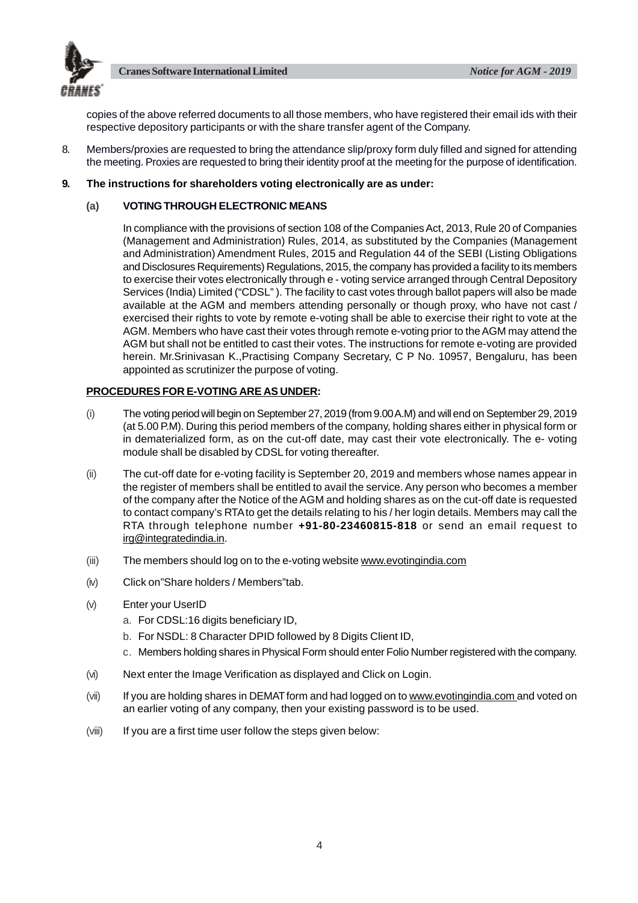



copies of the above referred documents to all those members, who have registered their email ids with their respective depository participants or with the share transfer agent of the Company.

8. Members/proxies are requested to bring the attendance slip/proxy form duly filled and signed for attending the meeting. Proxies are requested to bring their identity proof at the meeting for the purpose of identification.

#### **9. The instructions for shareholders voting electronically are as under:**

#### **(a) VOTING THROUGH ELECTRONIC MEANS**

In compliance with the provisions of section 108 of the Companies Act, 2013, Rule 20 of Companies (Management and Administration) Rules, 2014, as substituted by the Companies (Management and Administration) Amendment Rules, 2015 and Regulation 44 of the SEBI (Listing Obligations and Disclosures Requirements) Regulations, 2015, the company has provided a facility to its members to exercise their votes electronically through e - voting service arranged through Central Depository Services (India) Limited ("CDSL" ). The facility to cast votes through ballot papers will also be made available at the AGM and members attending personally or though proxy, who have not cast / exercised their rights to vote by remote e-voting shall be able to exercise their right to vote at the AGM. Members who have cast their votes through remote e-voting prior to the AGM may attend the AGM but shall not be entitled to cast their votes. The instructions for remote e-voting are provided herein. Mr.Srinivasan K.,Practising Company Secretary, C P No. 10957, Bengaluru, has been appointed as scrutinizer the purpose of voting.

#### **PROCEDURES FOR E-VOTING ARE AS UNDER:**

- (i) The voting period will begin on September 27, 2019 (from 9.00 A.M) and will end on September 29, 2019 (at 5.00 P.M). During this period members of the company, holding shares either in physical form or in dematerialized form, as on the cut-off date, may cast their vote electronically. The e- voting module shall be disabled by CDSL for voting thereafter.
- (ii) The cut-off date for e-voting facility is September 20, 2019 and members whose names appear in the register of members shall be entitled to avail the service. Any person who becomes a member of the company after the Notice of the AGM and holding shares as on the cut-off date is requested to contact company's RTA to get the details relating to his / her login details. Members may call the RTA through telephone number **+91-80-23460815-818** or send an email request to irg@integratedindia.in.
- (iii) The members should log on to the e-voting website www.evotingindia.com
- (iv) Click on"Share holders / Members"tab.
- (v) Enter your UserID
	- a. For CDSL:16 digits beneficiary ID,
	- b. For NSDL: 8 Character DPID followed by 8 Digits Client ID,
	- c. Members holding shares in Physical Form should enter Folio Number registered with the company.
- (vi) Next enter the Image Verification as displayed and Click on Login.
- (vii) If you are holding shares in DEMAT form and had logged on to www.evotingindia.com and voted on an earlier voting of any company, then your existing password is to be used.
- (viii) If you are a first time user follow the steps given below: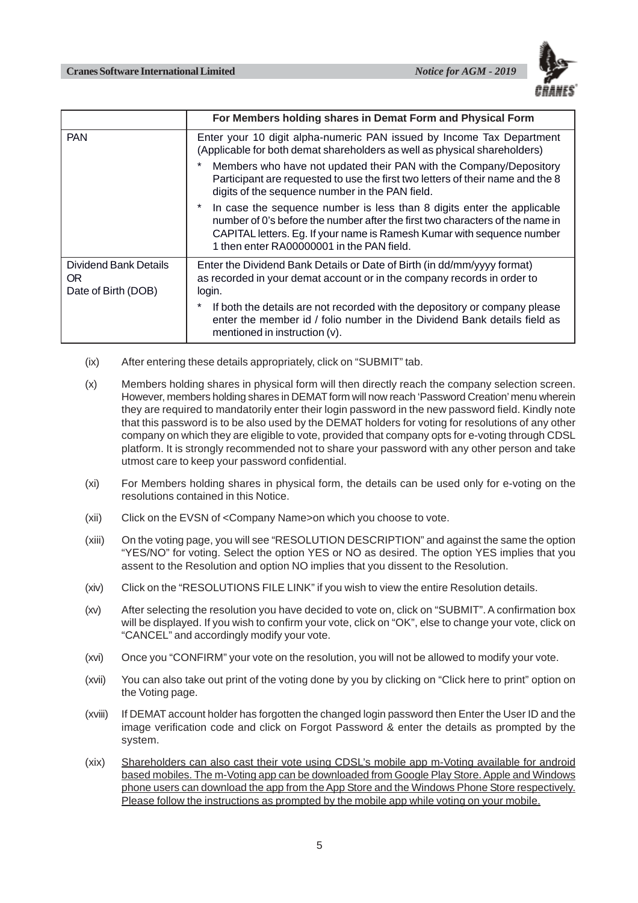

|                                                     | For Members holding shares in Demat Form and Physical Form                                                                                                                                                                                                                     |
|-----------------------------------------------------|--------------------------------------------------------------------------------------------------------------------------------------------------------------------------------------------------------------------------------------------------------------------------------|
| <b>PAN</b>                                          | Enter your 10 digit alpha-numeric PAN issued by Income Tax Department<br>(Applicable for both demat shareholders as well as physical shareholders)                                                                                                                             |
|                                                     | Members who have not updated their PAN with the Company/Depository<br>Participant are requested to use the first two letters of their name and the 8<br>digits of the sequence number in the PAN field.                                                                        |
|                                                     | In case the sequence number is less than 8 digits enter the applicable<br>number of 0's before the number after the first two characters of the name in<br>CAPITAL letters. Eg. If your name is Ramesh Kumar with sequence number<br>1 then enter RA00000001 in the PAN field. |
| Dividend Bank Details<br>OR.<br>Date of Birth (DOB) | Enter the Dividend Bank Details or Date of Birth (in dd/mm/yyyy format)<br>as recorded in your demat account or in the company records in order to<br>login.                                                                                                                   |
|                                                     | *<br>If both the details are not recorded with the depository or company please<br>enter the member id / folio number in the Dividend Bank details field as<br>mentioned in instruction (v).                                                                                   |

- (ix) After entering these details appropriately, click on "SUBMIT" tab.
- (x) Members holding shares in physical form will then directly reach the company selection screen. However, members holding shares in DEMAT form will now reach 'Password Creation' menu wherein they are required to mandatorily enter their login password in the new password field. Kindly note that this password is to be also used by the DEMAT holders for voting for resolutions of any other company on which they are eligible to vote, provided that company opts for e-voting through CDSL platform. It is strongly recommended not to share your password with any other person and take utmost care to keep your password confidential.
- (xi) For Members holding shares in physical form, the details can be used only for e-voting on the resolutions contained in this Notice.
- (xii) Click on the EVSN of <Company Name>on which you choose to vote.
- (xiii) On the voting page, you will see "RESOLUTION DESCRIPTION" and against the same the option "YES/NO" for voting. Select the option YES or NO as desired. The option YES implies that you assent to the Resolution and option NO implies that you dissent to the Resolution.
- (xiv) Click on the "RESOLUTIONS FILE LINK" if you wish to view the entire Resolution details.
- (xv) After selecting the resolution you have decided to vote on, click on "SUBMIT". A confirmation box will be displayed. If you wish to confirm your vote, click on "OK", else to change your vote, click on "CANCEL" and accordingly modify your vote.
- (xvi) Once you "CONFIRM" your vote on the resolution, you will not be allowed to modify your vote.
- (xvii) You can also take out print of the voting done by you by clicking on "Click here to print" option on the Voting page.
- (xviii) If DEMAT account holder has forgotten the changed login password then Enter the User ID and the image verification code and click on Forgot Password & enter the details as prompted by the system.
- (xix) Shareholders can also cast their vote using CDSL's mobile app m-Voting available for android based mobiles. The m-Voting app can be downloaded from Google Play Store. Apple and Windows phone users can download the app from the App Store and the Windows Phone Store respectively. Please follow the instructions as prompted by the mobile app while voting on your mobile.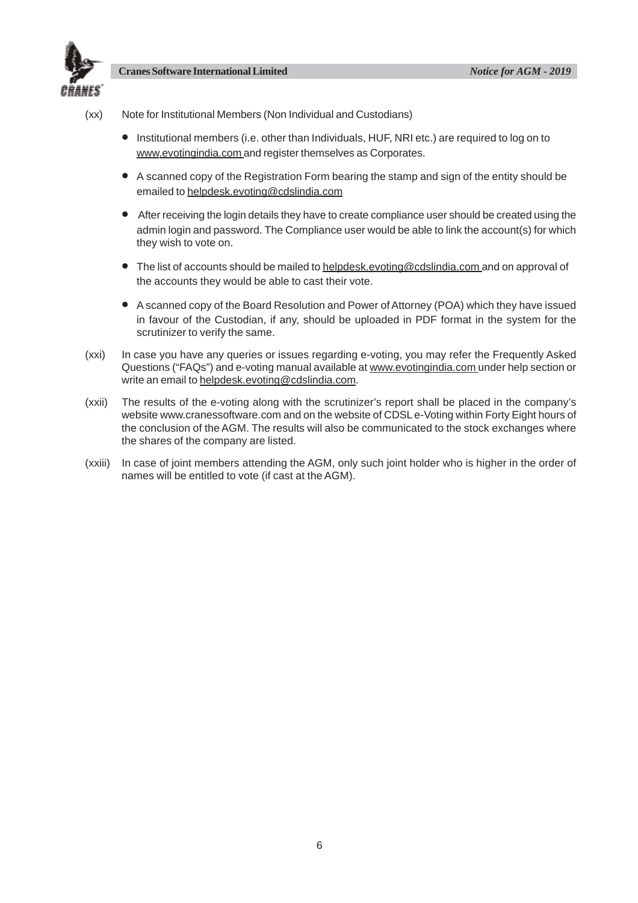

- (xx) Note for Institutional Members (Non Individual and Custodians)
	- Institutional members (i.e. other than Individuals, HUF, NRI etc.) are required to log on to www.evotingindia.com and register themselves as Corporates.
	- A scanned copy of the Registration Form bearing the stamp and sign of the entity should be emailed to helpdesk.evoting@cdslindia.com
	- After receiving the login details they have to create compliance user should be created using the admin login and password. The Compliance user would be able to link the account(s) for which they wish to vote on.
	- The list of accounts should be mailed to helpdesk.evoting@cdslindia.com and on approval of the accounts they would be able to cast their vote.
	- A scanned copy of the Board Resolution and Power of Attorney (POA) which they have issued in favour of the Custodian, if any, should be uploaded in PDF format in the system for the scrutinizer to verify the same.
- (xxi) In case you have any queries or issues regarding e-voting, you may refer the Frequently Asked Questions ("FAQs") and e-voting manual available at www.evotingindia.com under help section or write an email to helpdesk.evoting@cdslindia.com.
- (xxii) The results of the e-voting along with the scrutinizer's report shall be placed in the company's website www.cranessoftware.com and on the website of CDSL e-Voting within Forty Eight hours of the conclusion of the AGM. The results will also be communicated to the stock exchanges where the shares of the company are listed.
- (xxiii) In case of joint members attending the AGM, only such joint holder who is higher in the order of names will be entitled to vote (if cast at the AGM).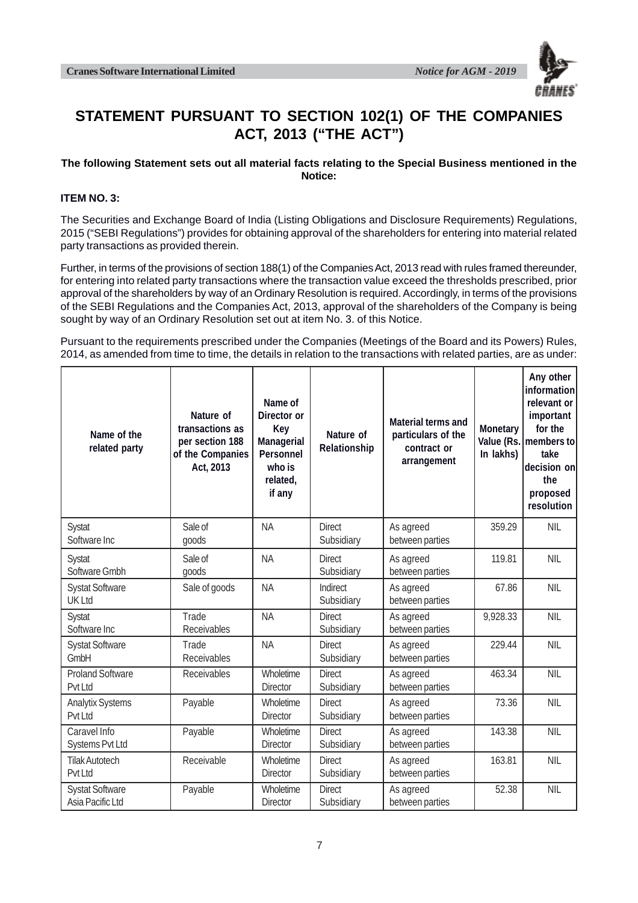

# **STATEMENT PURSUANT TO SECTION 102(1) OF THE COMPANIES ACT, 2013 ("THE ACT")**

#### **The following Statement sets out all material facts relating to the Special Business mentioned in the Notice:**

#### **ITEM NO. 3:**

The Securities and Exchange Board of India (Listing Obligations and Disclosure Requirements) Regulations, 2015 ("SEBI Regulations") provides for obtaining approval of the shareholders for entering into material related party transactions as provided therein.

Further, in terms of the provisions of section 188(1) of the Companies Act, 2013 read with rules framed thereunder, for entering into related party transactions where the transaction value exceed the thresholds prescribed, prior approval of the shareholders by way of an Ordinary Resolution is required. Accordingly, in terms of the provisions of the SEBI Regulations and the Companies Act, 2013, approval of the shareholders of the Company is being sought by way of an Ordinary Resolution set out at item No. 3. of this Notice.

Pursuant to the requirements prescribed under the Companies (Meetings of the Board and its Powers) Rules, 2014, as amended from time to time, the details in relation to the transactions with related parties, are as under:

| Name of the<br>related party               | Nature of<br>transactions as<br>per section 188<br>of the Companies<br>Act, 2013 | Name of<br>Director or<br>Key<br>Managerial<br>Personnel<br>who is<br>related,<br>if any | Nature of<br>Relationship   | Material terms and<br>particulars of the<br>contract or<br>arrangement | Monetary<br>In lakhs) | Any other<br>information<br>relevant or<br>important<br>for the<br>Value (Rs.   members to<br>take<br>decision on<br>the<br>proposed<br>resolution |
|--------------------------------------------|----------------------------------------------------------------------------------|------------------------------------------------------------------------------------------|-----------------------------|------------------------------------------------------------------------|-----------------------|----------------------------------------------------------------------------------------------------------------------------------------------------|
| Systat<br>Software Inc                     | Sale of<br>goods                                                                 | <b>NA</b>                                                                                | <b>Direct</b><br>Subsidiary | As agreed<br>between parties                                           | 359.29                | <b>NIL</b>                                                                                                                                         |
| <b>Systat</b><br>Software Gmbh             | Sale of<br>goods                                                                 | <b>NA</b>                                                                                | <b>Direct</b><br>Subsidiary | As agreed<br>between parties                                           | 119.81                | <b>NIL</b>                                                                                                                                         |
| <b>Systat Software</b><br><b>UK Ltd</b>    | Sale of goods                                                                    | <b>NA</b>                                                                                | Indirect<br>Subsidiary      | As agreed<br>between parties                                           | 67.86                 | <b>NIL</b>                                                                                                                                         |
| <b>Systat</b><br>Software Inc              | Trade<br>Receivables                                                             | <b>NA</b>                                                                                | <b>Direct</b><br>Subsidiary | As agreed<br>between parties                                           | 9,928.33              | <b>NIL</b>                                                                                                                                         |
| <b>Systat Software</b><br>GmbH             | Trade<br>Receivables                                                             | <b>NA</b>                                                                                | <b>Direct</b><br>Subsidiary | As agreed<br>between parties                                           | 229.44                | <b>NIL</b>                                                                                                                                         |
| <b>Proland Software</b><br>Pvt Ltd         | Receivables                                                                      | Wholetime<br><b>Director</b>                                                             | <b>Direct</b><br>Subsidiary | As agreed<br>between parties                                           | 463.34                | <b>NIL</b>                                                                                                                                         |
| <b>Analytix Systems</b><br>Pvt Ltd         | Payable                                                                          | Wholetime<br><b>Director</b>                                                             | <b>Direct</b><br>Subsidiary | As agreed<br>between parties                                           | 73.36                 | <b>NIL</b>                                                                                                                                         |
| Caravel Info<br>Systems Pvt Ltd            | Payable                                                                          | Wholetime<br><b>Director</b>                                                             | <b>Direct</b><br>Subsidiary | As agreed<br>between parties                                           | 143.38                | <b>NIL</b>                                                                                                                                         |
| <b>Tilak Autotech</b><br>Pvt Ltd           | Receivable                                                                       | Wholetime<br><b>Director</b>                                                             | <b>Direct</b><br>Subsidiary | As agreed<br>between parties                                           | 163.81                | <b>NIL</b>                                                                                                                                         |
| <b>Systat Software</b><br>Asia Pacific Ltd | Payable                                                                          | Wholetime<br><b>Director</b>                                                             | <b>Direct</b><br>Subsidiary | As agreed<br>between parties                                           | 52.38                 | <b>NIL</b>                                                                                                                                         |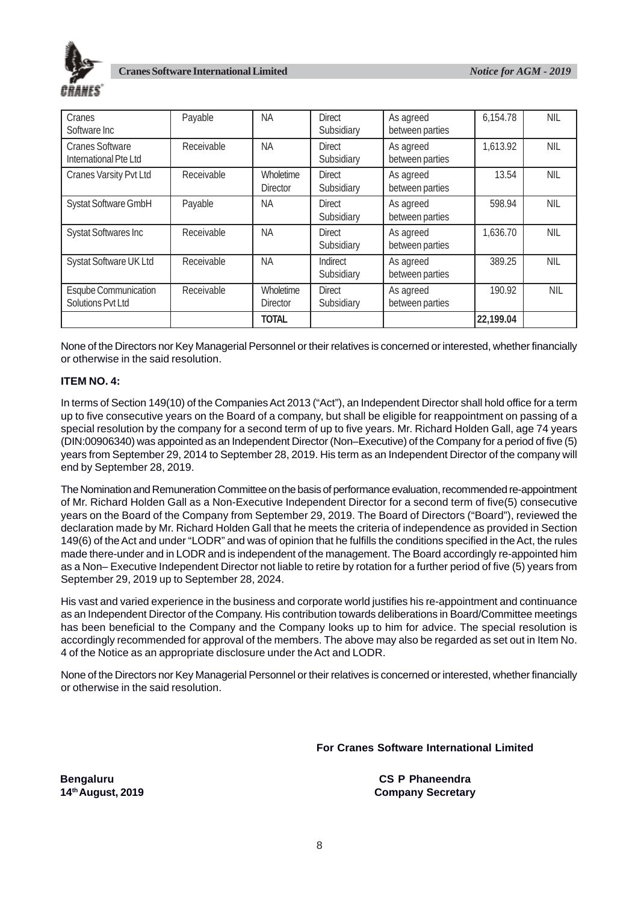

| Cranes<br>Software Inc                           | Payable    | <b>NA</b>                    | <b>Direct</b><br>Subsidiary | As agreed<br>between parties | 6,154.78  | <b>NIL</b> |
|--------------------------------------------------|------------|------------------------------|-----------------------------|------------------------------|-----------|------------|
| <b>Cranes Software</b><br>International Pte Ltd  | Receivable | <b>NA</b>                    | <b>Direct</b><br>Subsidiary | As agreed<br>between parties | 1,613.92  | <b>NIL</b> |
| Cranes Varsity Pvt Ltd                           | Receivable | Wholetime<br><b>Director</b> | <b>Direct</b><br>Subsidiary | As agreed<br>between parties | 13.54     | <b>NIL</b> |
| Systat Software GmbH                             | Payable    | <b>NA</b>                    | <b>Direct</b><br>Subsidiary | As agreed<br>between parties | 598.94    | <b>NIL</b> |
| <b>Systat Softwares Inc</b>                      | Receivable | <b>NA</b>                    | <b>Direct</b><br>Subsidiary | As agreed<br>between parties | 1,636.70  | NIL        |
| Systat Software UK Ltd                           | Receivable | <b>NA</b>                    | Indirect<br>Subsidiary      | As agreed<br>between parties | 389.25    | <b>NIL</b> |
| <b>Esqube Communication</b><br>Solutions Pvt Ltd | Receivable | Wholetime<br><b>Director</b> | <b>Direct</b><br>Subsidiary | As agreed<br>between parties | 190.92    | <b>NIL</b> |
|                                                  |            | <b>TOTAL</b>                 |                             |                              | 22,199.04 |            |

None of the Directors nor Key Managerial Personnel or their relatives is concerned or interested, whether financially or otherwise in the said resolution.

#### **ITEM NO. 4:**

In terms of Section 149(10) of the Companies Act 2013 ("Act"), an Independent Director shall hold office for a term up to five consecutive years on the Board of a company, but shall be eligible for reappointment on passing of a special resolution by the company for a second term of up to five years. Mr. Richard Holden Gall, age 74 years (DIN:00906340) was appointed as an Independent Director (Non–Executive) of the Company for a period of five (5) years from September 29, 2014 to September 28, 2019. His term as an Independent Director of the company will end by September 28, 2019.

The Nomination and Remuneration Committee on the basis of performance evaluation, recommended re-appointment of Mr. Richard Holden Gall as a Non-Executive Independent Director for a second term of five(5) consecutive years on the Board of the Company from September 29, 2019. The Board of Directors ("Board"), reviewed the declaration made by Mr. Richard Holden Gall that he meets the criteria of independence as provided in Section 149(6) of the Act and under "LODR" and was of opinion that he fulfills the conditions specified in the Act, the rules made there-under and in LODR and is independent of the management. The Board accordingly re-appointed him as a Non– Executive Independent Director not liable to retire by rotation for a further period of five (5) years from September 29, 2019 up to September 28, 2024.

His vast and varied experience in the business and corporate world justifies his re-appointment and continuance as an Independent Director of the Company. His contribution towards deliberations in Board/Committee meetings has been beneficial to the Company and the Company looks up to him for advice. The special resolution is accordingly recommended for approval of the members. The above may also be regarded as set out in Item No. 4 of the Notice as an appropriate disclosure under the Act and LODR.

None of the Directors nor Key Managerial Personnel or their relatives is concerned or interested, whether financially or otherwise in the said resolution.

**For Cranes Software International Limited**

**Bengaluru CS P Phaneendra 14th August, 2019 Company Secretary**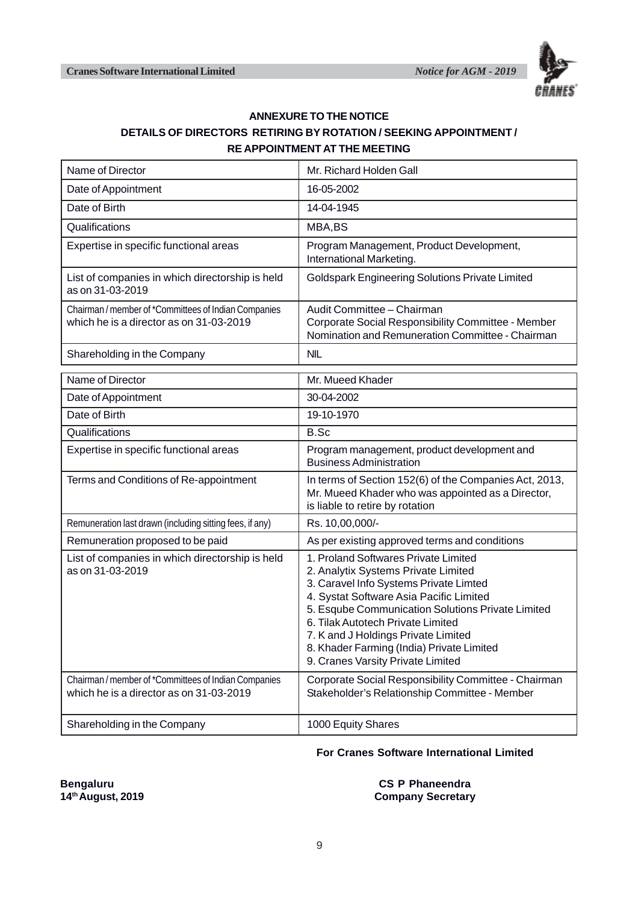

#### **ANNEXURE TO THE NOTICE DETAILS OF DIRECTORS RETIRING BY ROTATION / SEEKING APPOINTMENT / RE APPOINTMENT AT THE MEETING**

| Name of Director                                                                                | Mr. Richard Holden Gall                                                                                                                                                                                                                                                                                                                                                             |  |  |  |
|-------------------------------------------------------------------------------------------------|-------------------------------------------------------------------------------------------------------------------------------------------------------------------------------------------------------------------------------------------------------------------------------------------------------------------------------------------------------------------------------------|--|--|--|
| Date of Appointment                                                                             | 16-05-2002                                                                                                                                                                                                                                                                                                                                                                          |  |  |  |
| Date of Birth                                                                                   | 14-04-1945                                                                                                                                                                                                                                                                                                                                                                          |  |  |  |
| Qualifications                                                                                  | MBA,BS                                                                                                                                                                                                                                                                                                                                                                              |  |  |  |
| Expertise in specific functional areas                                                          | Program Management, Product Development,<br>International Marketing.                                                                                                                                                                                                                                                                                                                |  |  |  |
| List of companies in which directorship is held<br>as on 31-03-2019                             | <b>Goldspark Engineering Solutions Private Limited</b>                                                                                                                                                                                                                                                                                                                              |  |  |  |
| Chairman / member of *Committees of Indian Companies<br>which he is a director as on 31-03-2019 | Audit Committee - Chairman<br>Corporate Social Responsibility Committee - Member<br>Nomination and Remuneration Committee - Chairman                                                                                                                                                                                                                                                |  |  |  |
| Shareholding in the Company                                                                     | <b>NIL</b>                                                                                                                                                                                                                                                                                                                                                                          |  |  |  |
| Name of Director                                                                                | Mr. Mueed Khader                                                                                                                                                                                                                                                                                                                                                                    |  |  |  |
| Date of Appointment                                                                             | 30-04-2002                                                                                                                                                                                                                                                                                                                                                                          |  |  |  |
| Date of Birth                                                                                   | 19-10-1970                                                                                                                                                                                                                                                                                                                                                                          |  |  |  |
| Qualifications                                                                                  | B.Sc                                                                                                                                                                                                                                                                                                                                                                                |  |  |  |
| Expertise in specific functional areas                                                          | Program management, product development and<br><b>Business Administration</b>                                                                                                                                                                                                                                                                                                       |  |  |  |
| Terms and Conditions of Re-appointment                                                          | In terms of Section 152(6) of the Companies Act, 2013,<br>Mr. Mueed Khader who was appointed as a Director,<br>is liable to retire by rotation                                                                                                                                                                                                                                      |  |  |  |
| Remuneration last drawn (including sitting fees, if any)                                        | Rs. 10,00,000/-                                                                                                                                                                                                                                                                                                                                                                     |  |  |  |
| Remuneration proposed to be paid                                                                | As per existing approved terms and conditions                                                                                                                                                                                                                                                                                                                                       |  |  |  |
| List of companies in which directorship is held<br>as on 31-03-2019                             | 1. Proland Softwares Private Limited<br>2. Analytix Systems Private Limited<br>3. Caravel Info Systems Private Limted<br>4. Systat Software Asia Pacific Limited<br>5. Esqube Communication Solutions Private Limited<br>6. Tilak Autotech Private Limited<br>7. K and J Holdings Private Limited<br>8. Khader Farming (India) Private Limited<br>9. Cranes Varsity Private Limited |  |  |  |
| Chairman / member of *Committees of Indian Companies<br>which he is a director as on 31-03-2019 | Corporate Social Responsibility Committee - Chairman<br>Stakeholder's Relationship Committee - Member                                                                                                                                                                                                                                                                               |  |  |  |
| Shareholding in the Company                                                                     | 1000 Equity Shares                                                                                                                                                                                                                                                                                                                                                                  |  |  |  |

#### **For Cranes Software International Limited**

**Bengaluru CS P Phaneendra**<br>
14<sup>th</sup> August, 2019 **CS P Phaneendra**<br>
Company Secretary **Company Secretary**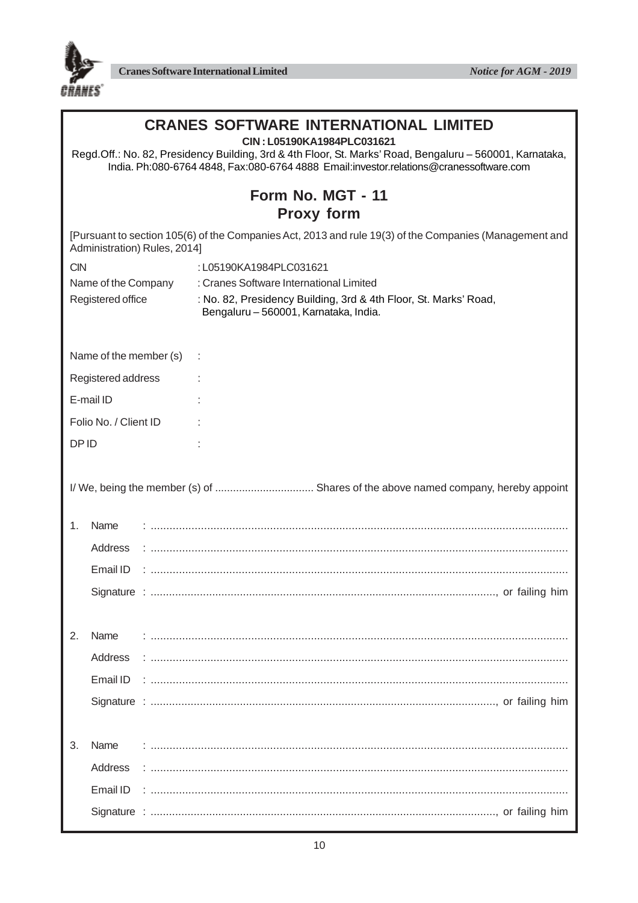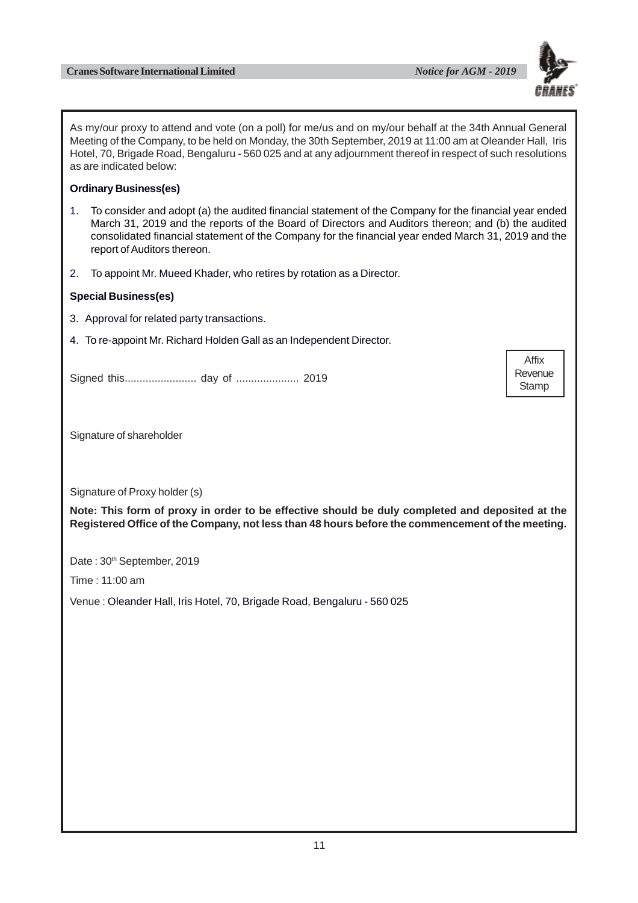

As my/our proxy to attend and vote (on a poll) for me/us and on my/our behalf at the 34th Annual General Meeting of the Company, to be held on Monday, the 30th September, 2019 at 11:00 am at Oleander Hall, Iris Hotel, 70, Brigade Road, Bengaluru - 560 025 and at any adjournment thereof in respect of such resolutions as are indicated below:

#### **Ordinary Business(es)**

- 1. To consider and adopt (a) the audited financial statement of the Company for the financial year ended March 31, 2019 and the reports of the Board of Directors and Auditors thereon; and (b) the audited consolidated financial statement of the Company for the financial year ended March 31, 2019 and the report of Auditors thereon.
- 2. To appoint Mr. Mueed Khader, who retires by rotation as a Director.

#### **Special Business(es)**

- 3. Approval for related party transactions.
- 4. To re-appoint Mr. Richard Holden Gall as an Independent Director.

Signed this........................ day of ..................... 2019

Signature of shareholder

Signature of Proxy holder (s)

**Note: This form of proxy in order to be effective should be duly completed and deposited at the Registered Office of the Company, not less than 48 hours before the commencement of the meeting.**

Date: 30<sup>th</sup> September, 2019

Time : 11:00 am

Venue : Oleander Hall, Iris Hotel, 70, Brigade Road, Bengaluru - 560 025

Affix **Revenue Stamp**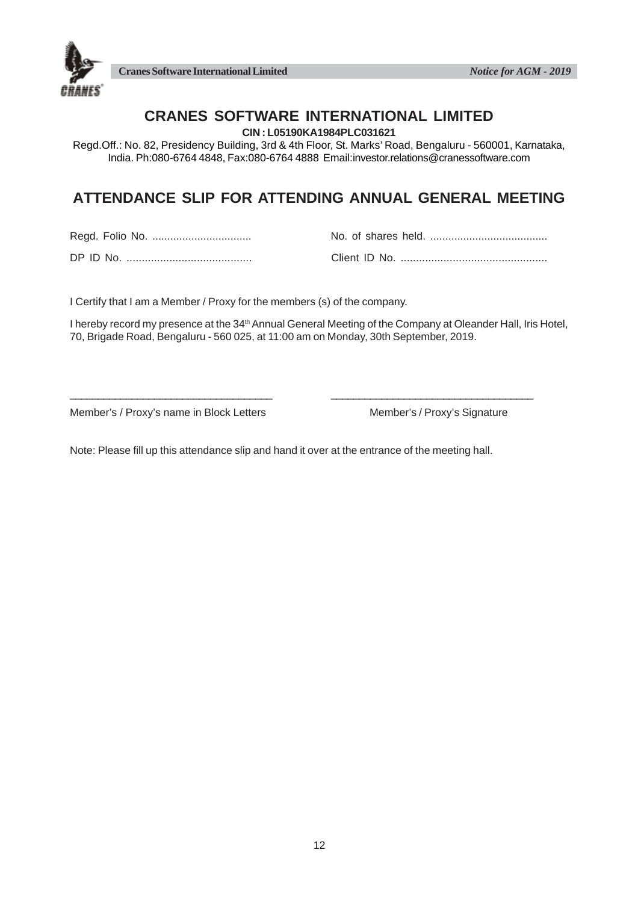



## **CRANES SOFTWARE INTERNATIONAL LIMITED**

**CIN : L05190KA1984PLC031621**

Regd.Off.: No. 82, Presidency Building, 3rd & 4th Floor, St. Marks' Road, Bengaluru - 560001, Karnataka, India. Ph:080-6764 4848, Fax:080-6764 4888 Email:investor.relations@cranessoftware.com

# **ATTENDANCE SLIP FOR ATTENDING ANNUAL GENERAL MEETING**

Regd. Folio No. ................................. No. of shares held. .......................................

DP ID No. ......................................... Client ID No. ................................................

I Certify that I am a Member / Proxy for the members (s) of the company.

I hereby record my presence at the 34<sup>th</sup> Annual General Meeting of the Company at Oleander Hall, Iris Hotel, 70, Brigade Road, Bengaluru - 560 025, at 11:00 am on Monday, 30th September, 2019.

Member's / Proxy's name in Block Letters Member's / Proxy's Signature

Note: Please fill up this attendance slip and hand it over at the entrance of the meeting hall.

\_\_\_\_\_\_\_\_\_\_\_\_\_\_\_\_\_\_\_\_\_\_\_\_\_\_\_\_\_\_\_\_\_\_\_\_ \_\_\_\_\_\_\_\_\_\_\_\_\_\_\_\_\_\_\_\_\_\_\_\_\_\_\_\_\_\_\_\_\_\_\_\_